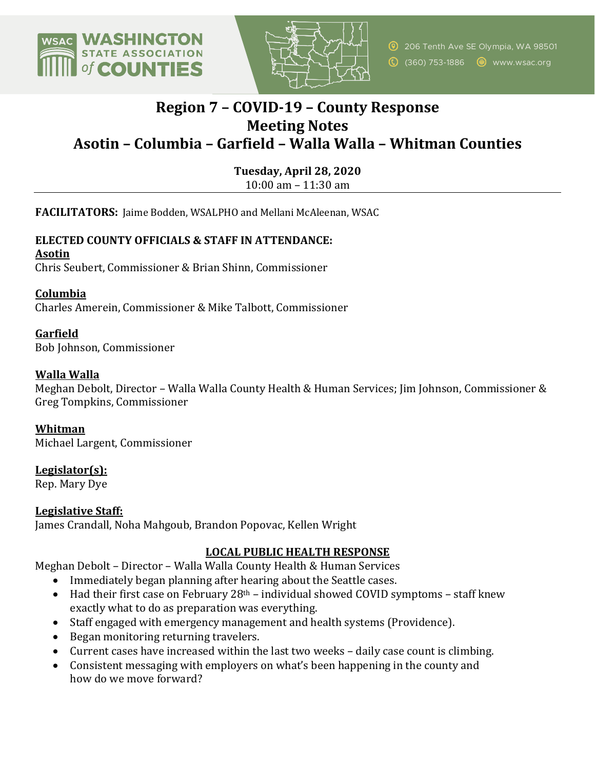



# **Region 7 – COVID-19 – County Response Meeting Notes Asotin – Columbia – Garfield – Walla Walla – Whitman Counties**

**Tuesday, April 28, 2020**

10:00 am – 11:30 am

**FACILITATORS:** Jaime Bodden, WSALPHO and Mellani McAleenan, WSAC

# **ELECTED COUNTY OFFICIALS & STAFF IN ATTENDANCE: Asotin**

Chris Seubert, Commissioner & Brian Shinn, Commissioner

## **Columbia**

Charles Amerein, Commissioner & Mike Talbott, Commissioner

# **Garfield**

Bob Johnson, Commissioner

#### **Walla Walla**

Meghan Debolt, Director – Walla Walla County Health & Human Services; Jim Johnson, Commissioner & Greg Tompkins, Commissioner

#### **Whitman**

Michael Largent, Commissioner

# **Legislator(s):**

Rep. Mary Dye

#### **Legislative Staff:**

James Crandall, Noha Mahgoub, Brandon Popovac, Kellen Wright

# LOCAL PUBLIC HEALTH RESPONSE

Meghan Debolt - Director - Walla Walla County Health & Human Services

- Immediately began planning after hearing about the Seattle cases.
- Had their first case on February  $28<sup>th</sup>$  individual showed COVID symptoms staff knew exactly what to do as preparation was everything.
- Staff engaged with emergency management and health systems (Providence).
- Began monitoring returning travelers.
- Current cases have increased within the last two weeks daily case count is climbing.
- Consistent messaging with employers on what's been happening in the county and how do we move forward?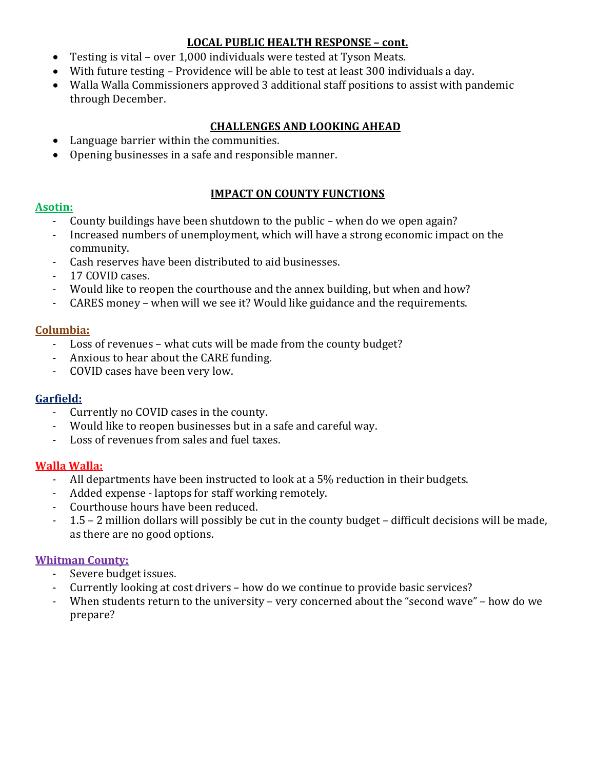## **LOCAL PUBLIC HEALTH RESPONSE – cont.**

- Testing is vital over 1,000 individuals were tested at Tyson Meats.
- With future testing Providence will be able to test at least 300 individuals a day.
- Walla Walla Commissioners approved 3 additional staff positions to assist with pandemic through December.

#### **CHALLENGES AND LOOKING AHEAD**

- Language barrier within the communities.
- Opening businesses in a safe and responsible manner.

#### **IMPACT ON COUNTY FUNCTIONS**

#### **Asotin:**

- County buildings have been shutdown to the public when do we open again?
- Increased numbers of unemployment, which will have a strong economic impact on the community.
- Cash reserves have been distributed to aid businesses.
- 17 COVID cases.
- Would like to reopen the courthouse and the annex building, but when and how?
- CARES money when will we see it? Would like guidance and the requirements.

## **Columbia:**

- Loss of revenues what cuts will be made from the county budget?
- Anxious to hear about the CARE funding.
- COVID cases have been very low.

# **Garfield:**

- Currently no COVID cases in the county.
- Would like to reopen businesses but in a safe and careful way.
- Loss of revenues from sales and fuel taxes.

# **Walla Walla:**

- All departments have been instructed to look at a 5% reduction in their budgets.
- Added expense laptops for staff working remotely.
- Courthouse hours have been reduced.
- 1.5 2 million dollars will possibly be cut in the county budget difficult decisions will be made, as there are no good options.

#### **Whitman County:**

- Severe budget issues.
- Currently looking at cost drivers how do we continue to provide basic services?
- When students return to the university very concerned about the "second wave" how do we prepare?